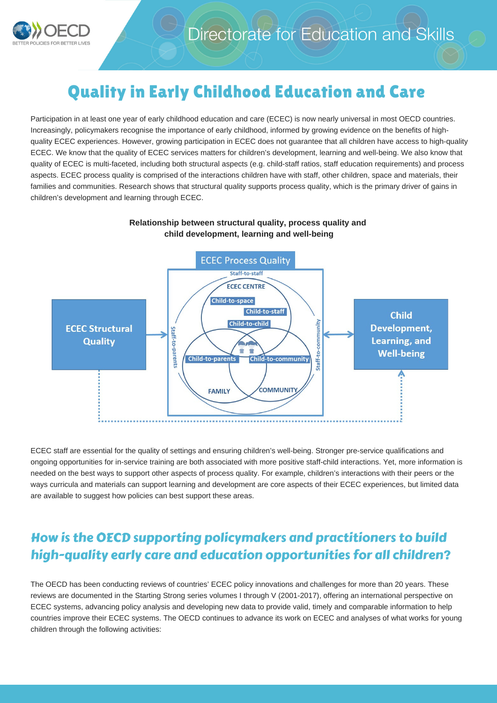

# Quality in Early Childhood Education and Care

Participation in at least one year of early childhood education and care (ECEC) is now nearly universal in most OECD countries. Increasingly, policymakers recognise the importance of early childhood, informed by growing evidence on the benefits of highquality ECEC experiences. However, growing participation in ECEC does not guarantee that all children have access to high-quality ECEC. We know that the quality of ECEC services matters for children's development, learning and well-being. We also know that quality of ECEC is multi-faceted, including both structural aspects (e.g. child-staff ratios, staff education requirements) and process aspects. ECEC process quality is comprised of the interactions children have with staff, other children, space and materials, their families and communities. Research shows that structural quality supports process quality, which is the primary driver of gains in children's development and learning through ECEC.



#### **Relationship between structural quality, process quality and child development, learning and well-being**

ECEC staff are essential for the quality of settings and ensuring children's well-being. Stronger pre-service qualifications and ongoing opportunities for in-service training are both associated with more positive staff-child interactions. Yet, more information is needed on the best ways to support other aspects of process quality. For example, children's interactions with their peers or the ways curricula and materials can support learning and development are core aspects of their ECEC experiences, but limited data are available to suggest how policies can best support these areas.

## How is the OECD supporting policymakers and practitioners to build high-quality early care and education opportunities for all children?

The OECD has been conducting reviews of countries' ECEC policy innovations and challenges for more than 20 years. These reviews are documented in the Starting Strong series volumes I through V (2001-2017), offering an international perspective on ECEC systems, advancing policy analysis and developing new data to provide valid, timely and comparable information to help countries improve their ECEC systems. The OECD continues to advance its work on ECEC and analyses of what works for young children through the following activities: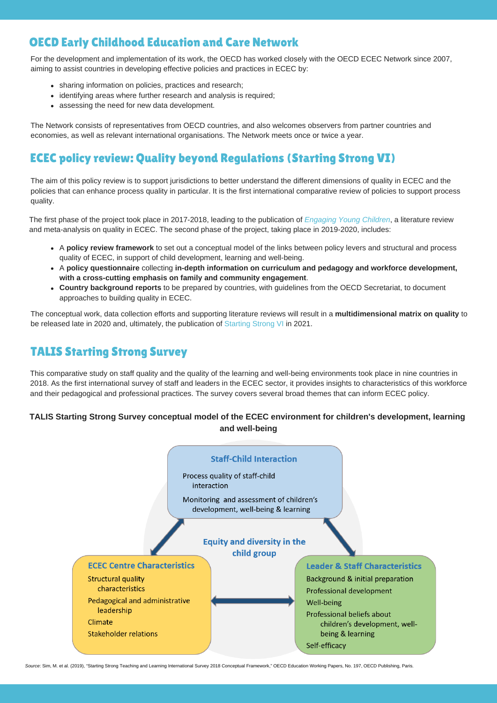### OECD Early Childhood Education and Care Network

For the development and implementation of its work, the OECD has worked closely with the OECD ECEC Network since 2007, aiming to assist countries in developing effective policies and practices in ECEC by:

- sharing information on policies, practices and research;
- identifying areas where further research and analysis is required;
- assessing the need for new data development.

The Network consists of representatives from OECD countries, and also welcomes observers from partner countries and economies, as well as relevant international organisations. The Network meets once or twice a year.

### ECEC policy review: Quality beyond Regulations (Starting Strong VI)

The aim of this policy review is to support jurisdictions to better understand the different dimensions of quality in ECEC and the policies that can enhance process quality in particular. It is the first international comparative review of policies to support process quality.

The first phase of the project took place in 2017-2018, leading to the publication of *Engaging Young Children*, a literature review and meta-analysis on quality in ECEC. The second phase of the project, taking place in 2019-2020, includes:

- A **policy review framework** to set out a conceptual model of the links between policy levers and structural and process quality of ECEC, in support of child development, learning and well-being.
- A **policy questionnaire** collecting **in-depth information on curriculum and pedagogy and workforce development, with a cross-cutting emphasis on family and community engagement**.
- **Country background reports** to be prepared by countries, with guidelines from the OECD Secretariat, to document approaches to building quality in ECEC.

The conceptual work, data collection efforts and supporting literature reviews will result in a **multidimensional matrix on quality** to be released late in 2020 and, ultimately, the publication of Starting Strong VI in 2021.

### TALIS Starting Strong Survey

This comparative study on staff quality and the quality of the learning and well-being environments took place in nine countries in 2018. As the first international survey of staff and leaders in the ECEC sector, it provides insights to characteristics of this workforce and their pedagogical and professional practices. The survey covers several broad themes that can inform ECEC policy.

#### **TALIS Starting Strong Survey conceptual model of the ECEC environment for children's development, learning and well-being**



*Source*: Sim, M. et al. (2019), "Starting Strong Teaching and Learning International Survey 2018 Conceptual Framework," OECD Education Working Papers, No. 197, OECD Publishing, Paris.